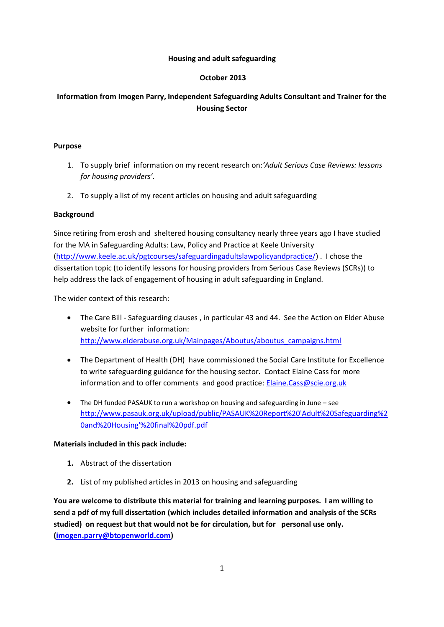### **Housing and adult safeguarding**

### **October 2013**

# **Information from Imogen Parry, Independent Safeguarding Adults Consultant and Trainer for the Housing Sector**

#### **Purpose**

- 1. To supply brief information on my recent research on:*'Adult Serious Case Reviews: lessons for housing providers'.*
- 2. To supply a list of my recent articles on housing and adult safeguarding

### **Background**

Since retiring from erosh and sheltered housing consultancy nearly three years ago I have studied for the MA in Safeguarding Adults: Law, Policy and Practice at Keele University [\(http://www.keele.ac.uk/pgtcourses/safeguardingadultslawpolicyandpractice/\)](http://www.keele.ac.uk/pgtcourses/safeguardingadultslawpolicyandpractice/) . I chose the dissertation topic (to identify lessons for housing providers from Serious Case Reviews (SCRs)) to help address the lack of engagement of housing in adult safeguarding in England.

The wider context of this research:

- The Care Bill Safeguarding clauses , in particular 43 and 44. See the Action on Elder Abuse website for further information: [http://www.elderabuse.org.uk/Mainpages/Aboutus/aboutus\\_campaigns.html](http://www.elderabuse.org.uk/Mainpages/Aboutus/aboutus_campaigns.html)
- The Department of Health (DH) have commissioned the Social Care Institute for Excellence to write safeguarding guidance for the housing sector. Contact Elaine Cass for more information and to offer comments and good practice: **Elaine.Cass@scie.org.uk**
- The DH funded PASAUK to run a workshop on housing and safeguarding in June see [http://www.pasauk.org.uk/upload/public/PASAUK%20Report%20'Adult%20Safeguarding%2](http://www.pasauk.org.uk/upload/public/PASAUK%20Report%20) [0and%20Housing'%20final%20pdf.pdf](http://www.pasauk.org.uk/upload/public/PASAUK%20Report%20)

### **Materials included in this pack include:**

- **1.** Abstract of the dissertation
- **2.** List of my published articles in 2013 on housing and safeguarding

**You are welcome to distribute this material for training and learning purposes. I am willing to send a pdf of my full dissertation (which includes detailed information and analysis of the SCRs studied) on request but that would not be for circulation, but for personal use only. [\(imogen.parry@btopenworld.com\)](mailto:imogen.parry@btopenworld.com)**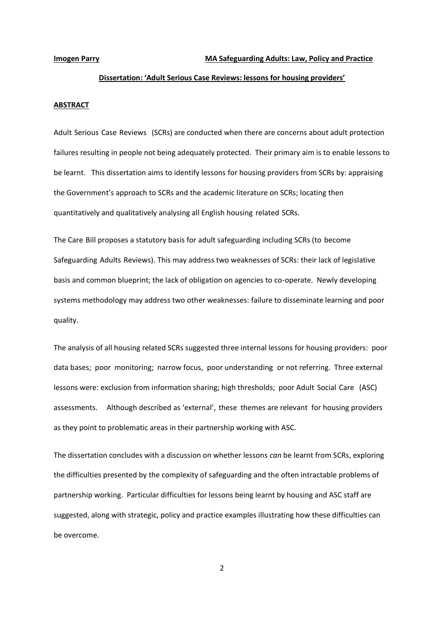### **Dissertation: 'Adult Serious Case Reviews: lessons for housing providers'**

#### **ABSTRACT**

Adult-Serious-Case-Reviews-(SCRs) are conducted when there are concerns about adult protection failures resulting in people not being adequately protected. Their primary aim is to enable lessons to be learnt. This dissertation aims to identify lessons for housing providers from SCRs by: appraising the Government's approach to SCRs and the academic literature on SCRs; locating then quantitatively and qualitatively analysing all English housing-related-SCRs.

The Care-Bill proposes a statutory basis for adult safeguarding including SCRs (to-become-Safeguarding-Adults-Reviews). This may address two weaknesses of SCRs: their lack of legislative basis and common blueprint; the lack of obligation on agencies to co-operate. Newly developing systems methodology may address two other weaknesses: failure to disseminate learning and poor quality.

The analysis of all housing related SCRs suggested three internal lessons for housing providers: poor data bases; poor monitoring; narrow focus, poor understanding or not referring. Three external lessons were: exclusion from information sharing; high thresholds; poor Adult-Social Care-(ASC) assessments. Although described as 'external', these themes are relevant for housing providers as they point to problematic areas in their partnership working with ASC.

The dissertation concludes with a discussion on whether lessons *can* be learnt from SCRs, exploring the difficulties presented by the complexity of safeguarding and the often intractable problems of partnership working. Particular difficulties for lessons being learnt by housing and ASC staff are suggested, along with strategic, policy and practice examples illustrating how these difficulties can be overcome.